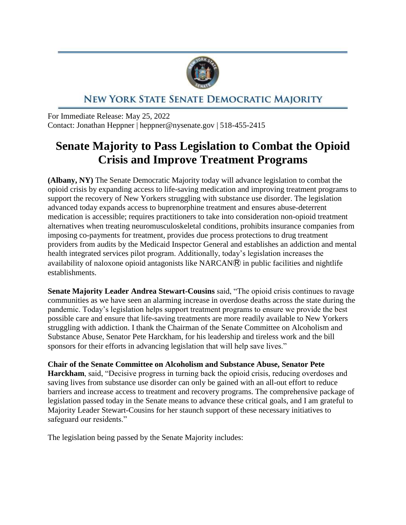

## NEW YORK STATE SENATE DEMOCRATIC MAJORITY

For Immediate Release: May 25, 2022 Contact: Jonathan Heppner | heppner@nysenate.gov | 518-455-2415

## **Senate Majority to Pass Legislation to Combat the Opioid Crisis and Improve Treatment Programs**

**(Albany, NY)** The Senate Democratic Majority today will advance legislation to combat the opioid crisis by expanding access to life-saving medication and improving treatment programs to support the recovery of New Yorkers struggling with substance use disorder. The legislation advanced today expands access to buprenorphine treatment and ensures abuse-deterrent medication is accessible; requires practitioners to take into consideration non-opioid treatment alternatives when treating neuromusculoskeletal conditions, prohibits insurance companies from imposing co-payments for treatment, provides due process protections to drug treatment providers from audits by the Medicaid Inspector General and establishes an addiction and mental health integrated services pilot program. Additionally, today's legislation increases the availability of naloxone opioid antagonists like  $NARCAN$  in public facilities and nightlife establishments.

**Senate Majority Leader Andrea Stewart-Cousins** said, "The opioid crisis continues to ravage communities as we have seen an alarming increase in overdose deaths across the state during the pandemic. Today's legislation helps support treatment programs to ensure we provide the best possible care and ensure that life-saving treatments are more readily available to New Yorkers struggling with addiction. I thank the Chairman of the Senate Committee on Alcoholism and Substance Abuse, Senator Pete Harckham, for his leadership and tireless work and the bill sponsors for their efforts in advancing legislation that will help save lives."

**Chair of the Senate Committee on Alcoholism and Substance Abuse, Senator Pete Harckham**, said, "Decisive progress in turning back the opioid crisis, reducing overdoses and saving lives from substance use disorder can only be gained with an all-out effort to reduce barriers and increase access to treatment and recovery programs. The comprehensive package of legislation passed today in the Senate means to advance these critical goals, and I am grateful to Majority Leader Stewart-Cousins for her staunch support of these necessary initiatives to safeguard our residents."

The legislation being passed by the Senate Majority includes: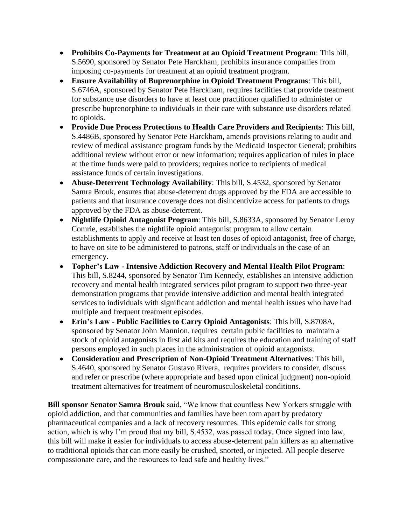- **Prohibits Co-Payments for Treatment at an Opioid Treatment Program**: This bill, S.5690, sponsored by Senator Pete Harckham, prohibits insurance companies from imposing co-payments for treatment at an opioid treatment program.
- **Ensure Availability of Buprenorphine in Opioid Treatment Programs**: This bill, S.6746A, sponsored by Senator Pete Harckham, requires facilities that provide treatment for substance use disorders to have at least one practitioner qualified to administer or prescribe buprenorphine to individuals in their care with substance use disorders related to opioids.
- **Provide Due Process Protections to Health Care Providers and Recipients**: This bill, S.4486B, sponsored by Senator Pete Harckham, amends provisions relating to audit and review of medical assistance program funds by the Medicaid Inspector General; prohibits additional review without error or new information; requires application of rules in place at the time funds were paid to providers; requires notice to recipients of medical assistance funds of certain investigations.
- **Abuse-Deterrent Technology Availability**: This bill, S.4532, sponsored by Senator Samra Brouk, ensures that abuse-deterrent drugs approved by the FDA are accessible to patients and that insurance coverage does not disincentivize access for patients to drugs approved by the FDA as abuse-deterrent.
- **Nightlife Opioid Antagonist Program**: This bill, S.8633A, sponsored by Senator Leroy Comrie, establishes the nightlife opioid antagonist program to allow certain establishments to apply and receive at least ten doses of opioid antagonist, free of charge, to have on site to be administered to patrons, staff or individuals in the case of an emergency.
- **Topher's Law - Intensive Addiction Recovery and Mental Health Pilot Program**: This bill, S.8244, sponsored by Senator Tim Kennedy, establishes an intensive addiction recovery and mental health integrated services pilot program to support two three-year demonstration programs that provide intensive addiction and mental health integrated services to individuals with significant addiction and mental health issues who have had multiple and frequent treatment episodes.
- **Erin's Law - Public Facilities to Carry Opioid Antagonists**: This bill, S.8708A, sponsored by Senator John Mannion, requires certain public facilities to maintain a stock of opioid antagonists in first aid kits and requires the education and training of staff persons employed in such places in the administration of opioid antagonists.
- **Consideration and Prescription of Non-Opioid Treatment Alternatives**: This bill, S.4640, sponsored by Senator Gustavo Rivera, requires providers to consider, discuss and refer or prescribe (where appropriate and based upon clinical judgment) non-opioid treatment alternatives for treatment of neuromusculoskeletal conditions.

**Bill sponsor Senator Samra Brouk** said, "We know that countless New Yorkers struggle with opioid addiction, and that communities and families have been torn apart by predatory pharmaceutical companies and a lack of recovery resources. This epidemic calls for strong action, which is why I'm proud that my bill, S.4532, was passed today. Once signed into law, this bill will make it easier for individuals to access abuse-deterrent pain killers as an alternative to traditional opioids that can more easily be crushed, snorted, or injected. All people deserve compassionate care, and the resources to lead safe and healthy lives."